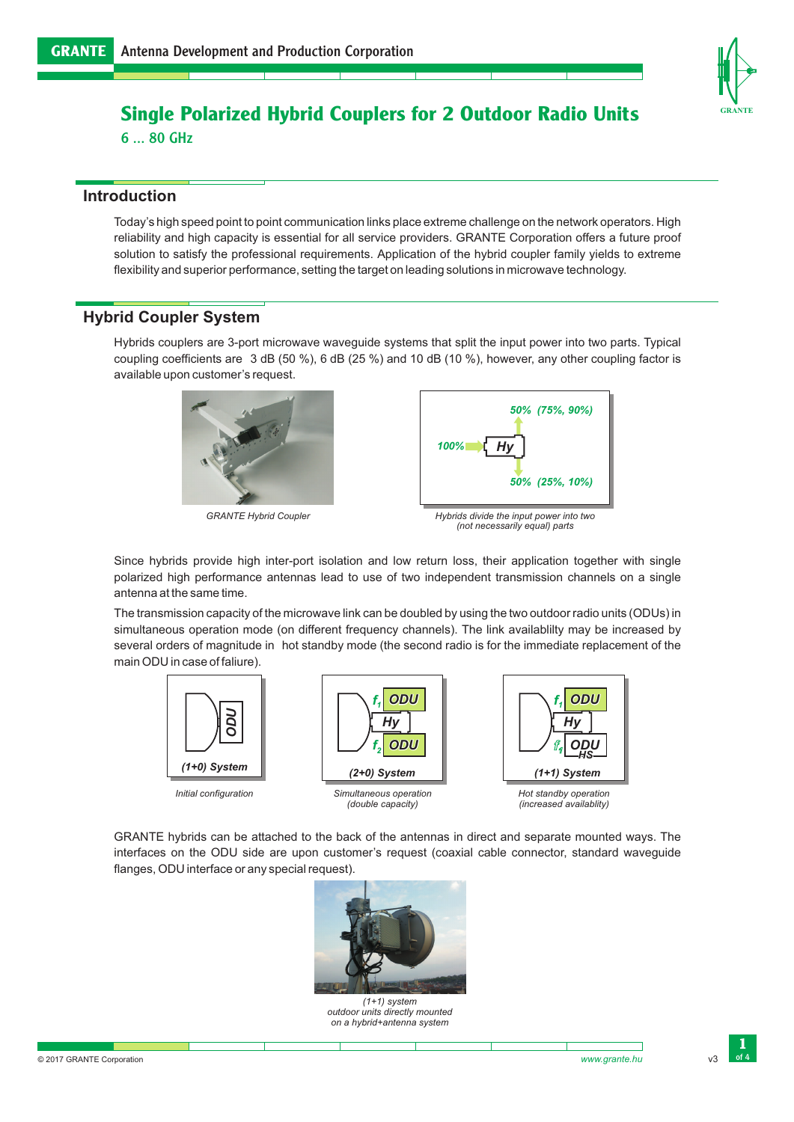

### **Single Polarized Hybrid Couplers for 2 Outdoor Radio Units**

6 ... 80 GHz

#### **Introduction**

Today's high speed point to point communication links place extreme challenge on the network operators. High reliability and high capacity is essential for all service providers. GRANTE Corporation offers a future proof solution to satisfy the professional requirements. Application of the hybrid coupler family yields to extreme flexibility and superior performance, setting the target on leading solutions in microwave technology.

#### **Hybrid Coupler System**

Hybrids couplers are 3-port microwave waveguide systems that split the input power into two parts. Typical coupling coefficients are 3 dB (50 %), 6 dB (25 %) and 10 dB (10 %), however, any other coupling factor is available upon customer's request.



*GRANTE Hybrid Coupler*



*(not necessarily equal) parts*

Since hybrids provide high inter-port isolation and low return loss, their application together with single polarized high performance antennas lead to use of two independent transmission channels on a single antenna at the same time.

The transmission capacity of the microwave link can be doubled by using the two outdoor radio units (ODUs) in simultaneous operation mode (on different frequency channels). The link availablilty may be increased by several orders of magnitude in hot standby mode (the second radio is for the immediate replacement of the main ODU in case of faliure).



GRANTE hybrids can be attached to the back of the antennas in direct and separate mounted ways. The interfaces on the ODU side are upon customer's request (coaxial cable connector, standard waveguide flanges, ODU interface or any special request).



*(1+1) system outdoor units directly mounted on a hybrid+antenna system*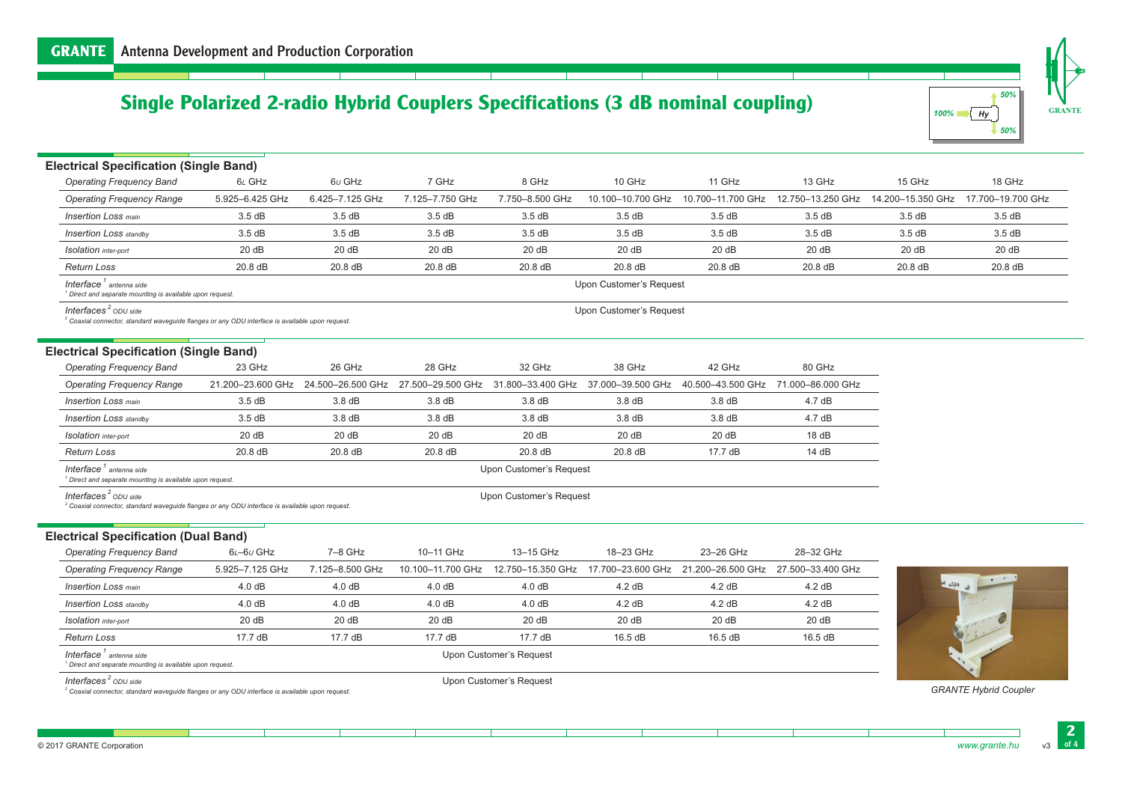# **Single Polarized 2-radio Hybrid Couplers Specifications (3 dB nominal coupling)**



**GRANTE**

| <b>Electrical Specification (Single Band)</b>                                                                                                    |                 |                                                                                                                               |                    |                         |                         |                                     |                   |                   |                   |
|--------------------------------------------------------------------------------------------------------------------------------------------------|-----------------|-------------------------------------------------------------------------------------------------------------------------------|--------------------|-------------------------|-------------------------|-------------------------------------|-------------------|-------------------|-------------------|
| <b>Operating Frequency Band</b>                                                                                                                  | 6L GHz          | $6\nu$ GHz                                                                                                                    | 7 GHz              | 8 GHz                   | 10 GHz                  | 11 GHz                              | 13 GHz            | 15 GHz            | 18 GHz            |
| <b>Operating Frequency Range</b>                                                                                                                 | 5.925-6.425 GHz | 6.425-7.125 GHz                                                                                                               | 7.125-7.750 GHz    | 7.750-8.500 GHz         | 10.100-10.700 GHz       | 10.700-11.700 GHz                   | 12.750-13.250 GHz | 14.200-15.350 GHz | 17.700-19.700 GHz |
| <b>Insertion Loss main</b>                                                                                                                       | 3.5dB           | 3.5dB                                                                                                                         | 3.5dB              | 3.5dB                   | 3.5dB                   | 3.5dB                               | 3.5dB             | 3.5dB             | 3.5dB             |
| <b>Insertion Loss</b> standby                                                                                                                    | 3.5dB           | 3.5dB                                                                                                                         | 3.5dB              | 3.5dB                   | 3.5dB                   | 3.5dB                               | 3.5dB             | 3.5dB             | 3.5dB             |
| <b>Isolation</b> inter-port                                                                                                                      | 20dB            | 20dB                                                                                                                          | 20dB               | 20dB                    | 20dB                    | 20 dB                               | 20 dB             | 20 dB             | 20dB              |
| <b>Return Loss</b>                                                                                                                               | 20.8 dB         | 20.8 dB                                                                                                                       | 20.8 dB            | 20.8 dB                 | 20.8 dB                 | 20.8 dB                             | 20.8 dB           | 20.8 dB           | 20.8 dB           |
| Interface <sup>1</sup> antenna side<br><sup>1</sup> Direct and separate mounting is available upon request.                                      |                 |                                                                                                                               |                    |                         | Upon Customer's Request |                                     |                   |                   |                   |
| Interfaces <sup>2</sup> ODU side<br><sup>2</sup> Coaxial connector, standard wavequide flanges or any ODU interface is available upon request.   |                 |                                                                                                                               |                    |                         | Upon Customer's Request |                                     |                   |                   |                   |
| <b>Electrical Specification (Single Band)</b>                                                                                                    |                 |                                                                                                                               |                    |                         |                         |                                     |                   |                   |                   |
| <b>Operating Frequency Band</b>                                                                                                                  | 23 GHz          | 26 GHz                                                                                                                        | 28 GHz             | 32 GHz                  | 38 GHz                  | 42 GHz                              | 80 GHz            |                   |                   |
| <b>Operating Frequency Range</b>                                                                                                                 |                 | 21.200-23.600 GHz 24.500-26.500 GHz 27.500-29.500 GHz 31.800-33.400 GHz 37.000-39.500 GHz 40.500-43.500 GHz 71.000-86.000 GHz |                    |                         |                         |                                     |                   |                   |                   |
| <b>Insertion Loss main</b>                                                                                                                       | 3.5dB           | 3.8dB                                                                                                                         | 3.8 dB             | 3.8dB                   | $3.8\,\mathrm{dB}$      | 3.8dB                               | 4.7dB             |                   |                   |
| <b>Insertion Loss standby</b>                                                                                                                    | 3.5dB           | 3.8 dB                                                                                                                        | $3.8\,\mathrm{dB}$ | $3.8\,\mathrm{dB}$      | 3.8 dB                  | 3.8dB                               | 4.7dB             |                   |                   |
| <b>Isolation</b> inter-port                                                                                                                      | 20dB            | 20dB                                                                                                                          | 20dB               | 20dB                    | 20dB                    | 20dB                                | 18dB              |                   |                   |
| <b>Return Loss</b>                                                                                                                               | 20.8 dB         | $20.8$ dB                                                                                                                     | $20.8$ dB          | 20.8 dB                 | 20.8 dB                 | 17.7 dB                             | 14dB              |                   |                   |
| Interface <sup>1</sup> antenna side<br><sup>1</sup> Direct and separate mounting is available upon request.                                      |                 |                                                                                                                               |                    | Upon Customer's Request |                         |                                     |                   |                   |                   |
| Interfaces <sup>2</sup> $ODU$ side<br><sup>2</sup> Coaxial connector, standard waveguide flanges or any ODU interface is available upon request. |                 |                                                                                                                               |                    | Upon Customer's Request |                         |                                     |                   |                   |                   |
| <b>Electrical Specification (Dual Band)</b>                                                                                                      |                 |                                                                                                                               |                    |                         |                         |                                     |                   |                   |                   |
| <b>Operating Frequency Band</b>                                                                                                                  | $6L - 6U$ GHz   | 7-8 GHz                                                                                                                       | 10-11 GHz          | 13-15 GHz               | 18-23 GHz               | 23-26 GHz                           | 28-32 GHz         |                   |                   |
| <b>Operating Frequency Range</b>                                                                                                                 | 5.925-7.125 GHz | 7.125-8.500 GHz                                                                                                               | 10.100-11.700 GHz  | 12.750-15.350 GHz       |                         | 17.700-23.600 GHz 21.200-26.500 GHz | 27.500-33.400 GHz |                   |                   |
| <b>Insertion Loss main</b>                                                                                                                       | 4.0 dB          | 4.0 dB                                                                                                                        | 4.0 dB             | 4.0 dB                  | 4.2 dB                  | 4.2 dB                              | 4.2 dB            | ا ھ الشہ ا        |                   |
| <b>Insertion Loss standby</b>                                                                                                                    | 4.0 dB          | 4.0 dB                                                                                                                        | 4.0 dB             | 4.0dB                   | 4.2 dB                  | 4.2 dB                              | 4.2 dB            |                   |                   |
| <b>Isolation</b> inter-port                                                                                                                      | 20dB            | 20dB                                                                                                                          | 20dB               | 20dB                    | 20dB                    | 20dB                                | 20dB              |                   |                   |
| <b>Return Loss</b>                                                                                                                               | 17.7 dB         | 17.7 dB                                                                                                                       | 17.7 dB            | 17.7 dB                 | 16.5 dB                 | 16.5 dB                             | 16.5 dB           |                   |                   |
| Interface <sup>1</sup> antenna side                                                                                                              |                 |                                                                                                                               |                    | Upon Customer's Request |                         |                                     |                   |                   |                   |

*<sup>1</sup> Direct and separate mounting is available upon request.*

*<i>Interfaces<sup>2</sup>* ODU side</sup>

÷

*<sup>2</sup> Coaxial connector, standard waveguide flanges or any ODU interface is available upon request.*

Upon Customer's Request

*GRANTE Hybrid Coupler*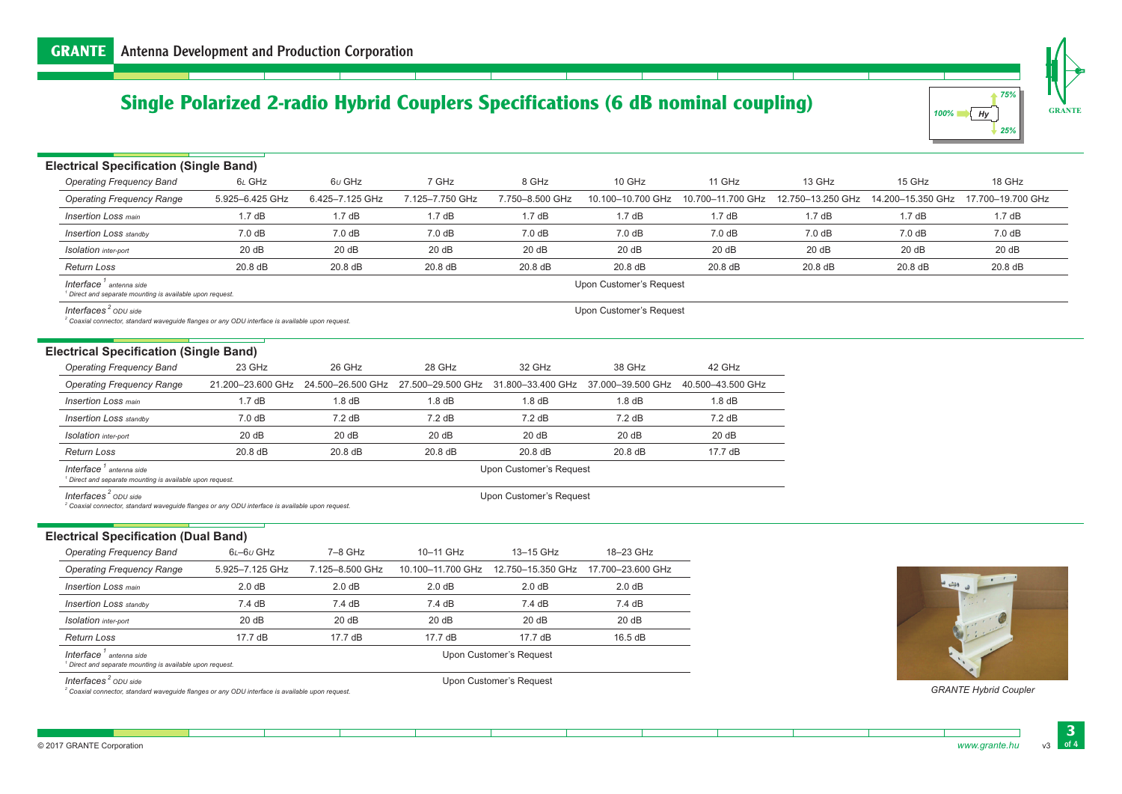# **Single Polarized 2-radio Hybrid Couplers Specifications (6 dB nominal coupling)**

| 75%        |
|------------|
| 100%<br>Hv |
| 25%        |

**GRANTE**

| <b>Electrical Specification (Single Band)</b>                                                                                                  |                   |                   |                   |                         |                                      |                   |                   |                   |                   |
|------------------------------------------------------------------------------------------------------------------------------------------------|-------------------|-------------------|-------------------|-------------------------|--------------------------------------|-------------------|-------------------|-------------------|-------------------|
| <b>Operating Frequency Band</b>                                                                                                                | 6L GHz            | $6\nu$ GHz        | 7 GHz             | 8 GHz                   | 10 GHz                               | 11 GHz            | 13 GHz            | 15 GHz            | 18 GHz            |
| <b>Operating Frequency Range</b>                                                                                                               | 5.925-6.425 GHz   | 6.425-7.125 GHz   | 7.125-7.750 GHz   | 7.750-8.500 GHz         | 10.100-10.700 GHz                    | 10.700-11.700 GHz | 12.750-13.250 GHz | 14.200-15.350 GHz | 17.700-19.700 GHz |
| <b>Insertion Loss main</b>                                                                                                                     | 1.7dB             | 1.7dB             | 1.7dB             | 1.7dB                   | 1.7dB                                | 1.7dB             | 1.7dB             | 1.7dB             | 1.7dB             |
| <b>Insertion Loss standby</b>                                                                                                                  | 7.0dB             | 7.0dB             | 7.0dB             | 7.0 dB                  | 7.0 <sub>dB</sub>                    | 7.0dB             | 7.0dB             | 7.0 dB            | 7.0 dB            |
| <b>Isolation</b> inter-port                                                                                                                    | 20dB              | 20dB              | 20dB              | 20dB                    | 20dB                                 | 20 dB             | 20dB              | 20dB              | 20dB              |
| Return Loss                                                                                                                                    | 20.8 dB           | 20.8 dB           | 20.8 dB           | 20.8 dB                 | 20.8 dB                              | 20.8 dB           | 20.8 dB           | 20.8 dB           | 20.8 dB           |
| Interface <sup>1</sup> antenna side<br><sup>1</sup> Direct and separate mounting is available upon request.                                    |                   |                   |                   |                         | Upon Customer's Request              |                   |                   |                   |                   |
| Interfaces <sup>2</sup> ODU side<br><sup>2</sup> Coaxial connector, standard wavequide flanges or any ODU interface is available upon request. |                   |                   |                   |                         | Upon Customer's Request              |                   |                   |                   |                   |
| <b>Electrical Specification (Single Band)</b>                                                                                                  |                   |                   |                   |                         |                                      |                   |                   |                   |                   |
| <b>Operating Frequency Band</b>                                                                                                                | 23 GHz            | 26 GHz            | 28 GHz            | 32 GHz                  | 38 GHz                               | 42 GHz            |                   |                   |                   |
| <b>Operating Frequency Range</b>                                                                                                               | 21.200-23.600 GHz | 24.500-26.500 GHz | 27.500-29.500 GHz | 31.800-33.400 GHz       | 37.000-39.500 GHz                    | 40.500-43.500 GHz |                   |                   |                   |
| <b>Insertion Loss main</b>                                                                                                                     | 1.7dB             | 1.8 dB            | 1.8 dB            | 1.8 dB                  | $1.8$ dB                             | 1.8 dB            |                   |                   |                   |
| <b>Insertion Loss standby</b>                                                                                                                  | 7.0 dB            | 7.2 dB            | 7.2 dB            | 7.2 dB                  | 7.2 dB                               | 7.2 dB            |                   |                   |                   |
| <b>Isolation</b> inter-port                                                                                                                    | 20dB              | 20dB              | 20dB              | 20dB                    | 20dB                                 | 20 dB             |                   |                   |                   |
| <b>Return Loss</b>                                                                                                                             | 20.8 dB           | 20.8 dB           | 20.8 dB           | $20.8$ dB               | 20.8 dB                              | 17.7 dB           |                   |                   |                   |
| Interface <sup>1</sup> antenna side<br><sup>1</sup> Direct and separate mounting is available upon request.                                    |                   |                   |                   | Upon Customer's Request |                                      |                   |                   |                   |                   |
| Interfaces <sup>2</sup> ODU side<br>$2$ Coaxial connector, standard wavequide flanges or any ODU interface is available upon request.          |                   |                   |                   | Upon Customer's Request |                                      |                   |                   |                   |                   |
| <b>Electrical Specification (Dual Band)</b>                                                                                                    |                   |                   |                   |                         |                                      |                   |                   |                   |                   |
| <b>Operating Frequency Band</b>                                                                                                                | $6L - 6U$ GHz     | $7-8$ GHz         | 10-11 GHz         | 13-15 GHz               | 18-23 GHz                            |                   |                   |                   |                   |
| <b>Operating Frequency Range</b>                                                                                                               | 5.925-7.125 GHz   | 7.125-8.500 GHz   | 10.100-11.700 GHz |                         | 12.750-15.350 GHz  17.700-23.600 GHz |                   |                   |                   |                   |

| <b>Operating Frequency Range</b>                                                                            | 5.925-7.125 GHz         | 7.125-8.500 GHz | 10.100-11.700 GHz | 12.750–15.350 GHz | 17.700-23.600 GHz |  |  |  |
|-------------------------------------------------------------------------------------------------------------|-------------------------|-----------------|-------------------|-------------------|-------------------|--|--|--|
| <b>Insertion Loss main</b>                                                                                  | 2.0 dB                  | 2.0 dB          | 2.0 dB            | 2.0 dB            | 2.0 dB            |  |  |  |
| <b>Insertion Loss</b> standby                                                                               | 7.4dB                   | 7.4 dB          | 7.4dB             | 7.4 dB            | 7.4dB             |  |  |  |
| Isolation inter-port                                                                                        | 20dB                    | 20dB            | 20dB              | 20dB              | 20 dB             |  |  |  |
| Return Loss                                                                                                 | 17.7dB                  | 17.7 dB         | $17.7 \text{ dB}$ | $17.7 \text{ dB}$ | 16.5 dB           |  |  |  |
| Interface <sup>1</sup> antenna side<br><sup>1</sup> Direct and separate mounting is available upon request. | Upon Customer's Request |                 |                   |                   |                   |  |  |  |
|                                                                                                             |                         |                 |                   |                   |                   |  |  |  |

*<i>Interfaces<sup>2</sup>* ODU side</sup>

×

*<sup>2</sup> Coaxial connector, standard waveguide flanges or any ODU interface is available upon request.*

Upon Customer's Request